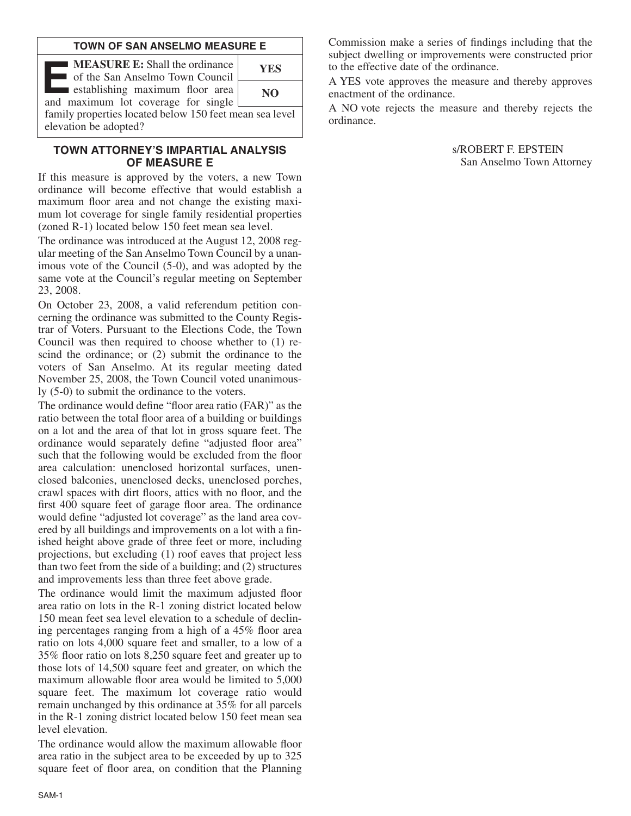#### **TOWN OF SAN ANSELMO MEASURE E**

| <b>MEASURE E:</b> Shall the ordinance<br>of the San Anselmo Town Council         | <b>YES</b>     |  |  |  |  |
|----------------------------------------------------------------------------------|----------------|--|--|--|--|
| establishing maximum floor area<br>and maximum lot coverage for single [         | N <sub>O</sub> |  |  |  |  |
| family properties located below 150 feet mean sea level<br>elevation be adopted? |                |  |  |  |  |

## **TOWN ATTORNEY'S IMPARTIAL ANALYSIS OF MEASURE E**

If this measure is approved by the voters, a new Town ordinance will become effective that would establish a maximum floor area and not change the existing maximum lot coverage for single family residential properties (zoned R-1) located below 150 feet mean sea level.

The ordinance was introduced at the August 12, 2008 regular meeting of the San Anselmo Town Council by a unanimous vote of the Council (5-0), and was adopted by the same vote at the Council's regular meeting on September 23, 2008.

On October 23, 2008, a valid referendum petition concerning the ordinance was submitted to the County Registrar of Voters. Pursuant to the Elections Code, the Town Council was then required to choose whether to (1) rescind the ordinance; or (2) submit the ordinance to the voters of San Anselmo. At its regular meeting dated November 25, 2008, the Town Council voted unanimously (5-0) to submit the ordinance to the voters.

The ordinance would define "floor area ratio (FAR)" as the ratio between the total floor area of a building or buildings on a lot and the area of that lot in gross square feet. The ordinance would separately define "adjusted floor area" such that the following would be excluded from the floor area calculation: unenclosed horizontal surfaces, unenclosed balconies, unenclosed decks, unenclosed porches, crawl spaces with dirt floors, attics with no floor, and the first 400 square feet of garage floor area. The ordinance would define "adjusted lot coverage" as the land area covered by all buildings and improvements on a lot with a finished height above grade of three feet or more, including projections, but excluding (1) roof eaves that project less than two feet from the side of a building; and (2) structures and improvements less than three feet above grade.

The ordinance would limit the maximum adjusted floor area ratio on lots in the R-1 zoning district located below 150 mean feet sea level elevation to a schedule of declining percentages ranging from a high of a 45% floor area ratio on lots 4,000 square feet and smaller, to a low of a 35% floor ratio on lots 8,250 square feet and greater up to those lots of 14,500 square feet and greater, on which the maximum allowable floor area would be limited to 5,000 square feet. The maximum lot coverage ratio would remain unchanged by this ordinance at 35% for all parcels in the R-1 zoning district located below 150 feet mean sea level elevation.

The ordinance would allow the maximum allowable floor area ratio in the subject area to be exceeded by up to 325 square feet of floor area, on condition that the Planning Commission make a series of findings including that the subject dwelling or improvements were constructed prior to the effective date of the ordinance.

A YES vote approves the measure and thereby approves enactment of the ordinance.

A NO vote rejects the measure and thereby rejects the ordinance.

> s/ROBERT F. EPSTEIN San Anselmo Town Attorney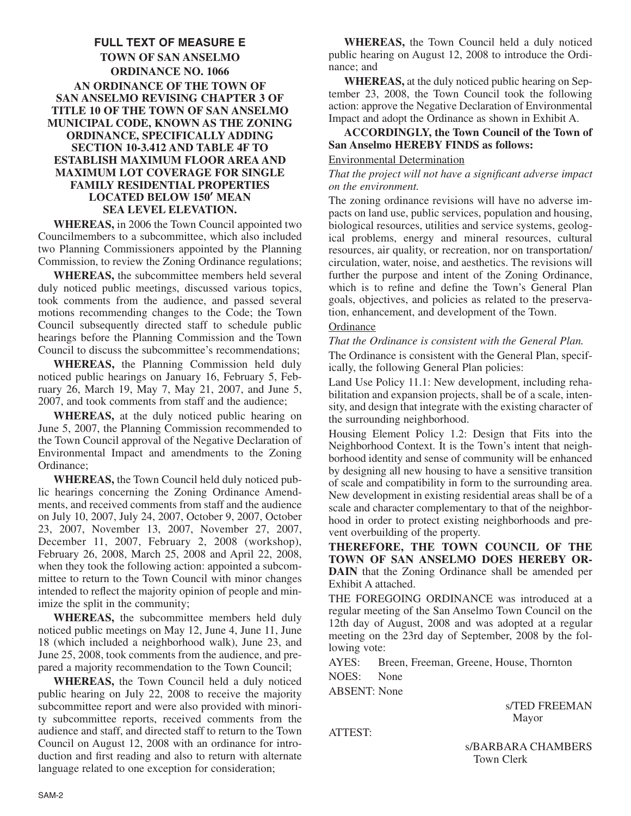## **FULL TEXT OF MEASURE E TOWN OF SAN ANSELMO ORDINANCE NO. 1066 AN ORDINANCE OF THE TOWN OF SAN ANSELMO REVISING CHAPTER 3 OF TITLE 10 OF THE TOWN OF SAN ANSELMO MUNICIPAL CODE, KNOWN AS THE ZONING ORDINANCE, SPECIFICALLY ADDING SECTION 10-3.412 AND TABLE 4F TO ESTABLISH MAXIMUM FLOOR AREA AND MAXIMUM LOT COVERAGE FOR SINGLE FAMILY RESIDENTIAL PROPERTIES LOCATED BELOW 150**' **MEAN SEA LEVEL ELEVATION.**

**WHEREAS,** in 2006 the Town Council appointed two Councilmembers to a subcommittee, which also included two Planning Commissioners appointed by the Planning Commission, to review the Zoning Ordinance regulations;

**WHEREAS,** the subcommittee members held several duly noticed public meetings, discussed various topics, took comments from the audience, and passed several motions recommending changes to the Code; the Town Council subsequently directed staff to schedule public hearings before the Planning Commission and the Town Council to discuss the subcommittee's recommendations;

**WHEREAS,** the Planning Commission held duly noticed public hearings on January 16, February 5, February 26, March 19, May 7, May 21, 2007, and June 5, 2007, and took comments from staff and the audience;

**WHEREAS,** at the duly noticed public hearing on June 5, 2007, the Planning Commission recommended to the Town Council approval of the Negative Declaration of Environmental Impact and amendments to the Zoning Ordinance;

**WHEREAS,** the Town Council held duly noticed public hearings concerning the Zoning Ordinance Amendments, and received comments from staff and the audience on July 10, 2007, July 24, 2007, October 9, 2007, October 23, 2007, November 13, 2007, November 27, 2007, December 11, 2007, February 2, 2008 (workshop), February 26, 2008, March 25, 2008 and April 22, 2008, when they took the following action: appointed a subcommittee to return to the Town Council with minor changes intended to reflect the majority opinion of people and minimize the split in the community;

**WHEREAS,** the subcommittee members held duly noticed public meetings on May 12, June 4, June 11, June 18 (which included a neighborhood walk), June 23, and June 25, 2008, took comments from the audience, and prepared a majority recommendation to the Town Council;

**WHEREAS,** the Town Council held a duly noticed public hearing on July 22, 2008 to receive the majority subcommittee report and were also provided with minority subcommittee reports, received comments from the audience and staff, and directed staff to return to the Town Council on August 12, 2008 with an ordinance for introduction and first reading and also to return with alternate language related to one exception for consideration;

**WHEREAS,** the Town Council held a duly noticed public hearing on August 12, 2008 to introduce the Ordinance; and

**WHEREAS,** at the duly noticed public hearing on September 23, 2008, the Town Council took the following action: approve the Negative Declaration of Environmental Impact and adopt the Ordinance as shown in Exhibit A.

# **ACCORDINGLY, the Town Council of the Town of San Anselmo HEREBY FINDS as follows:**

#### Environmental Determination

*That the project will not have a significant adverse impact on the environment.*

The zoning ordinance revisions will have no adverse impacts on land use, public services, population and housing, biological resources, utilities and service systems, geological problems, energy and mineral resources, cultural resources, air quality, or recreation, nor on transportation/ circulation, water, noise, and aesthetics. The revisions will further the purpose and intent of the Zoning Ordinance, which is to refine and define the Town's General Plan goals, objectives, and policies as related to the preservation, enhancement, and development of the Town.

#### **Ordinance**

*That the Ordinance is consistent with the General Plan.*

The Ordinance is consistent with the General Plan, specifically, the following General Plan policies:

Land Use Policy 11.1: New development, including rehabilitation and expansion projects, shall be of a scale, intensity, and design that integrate with the existing character of the surrounding neighborhood.

Housing Element Policy 1.2: Design that Fits into the Neighborhood Context. It is the Town's intent that neighborhood identity and sense of community will be enhanced by designing all new housing to have a sensitive transition of scale and compatibility in form to the surrounding area. New development in existing residential areas shall be of a scale and character complementary to that of the neighborhood in order to protect existing neighborhoods and prevent overbuilding of the property.

**THEREFORE, THE TOWN COUNCIL OF THE TOWN OF SAN ANSELMO DOES HEREBY OR-DAIN** that the Zoning Ordinance shall be amended per Exhibit A attached.

THE FOREGOING ORDINANCE was introduced at a regular meeting of the San Anselmo Town Council on the 12th day of August, 2008 and was adopted at a regular meeting on the 23rd day of September, 2008 by the following vote:

AYES: Breen, Freeman, Greene, House, Thornton NOES: None

ABSENT: None

ATTEST:

s/TED FREEMAN Mayor

s/BARBARA CHAMBERS Town Clerk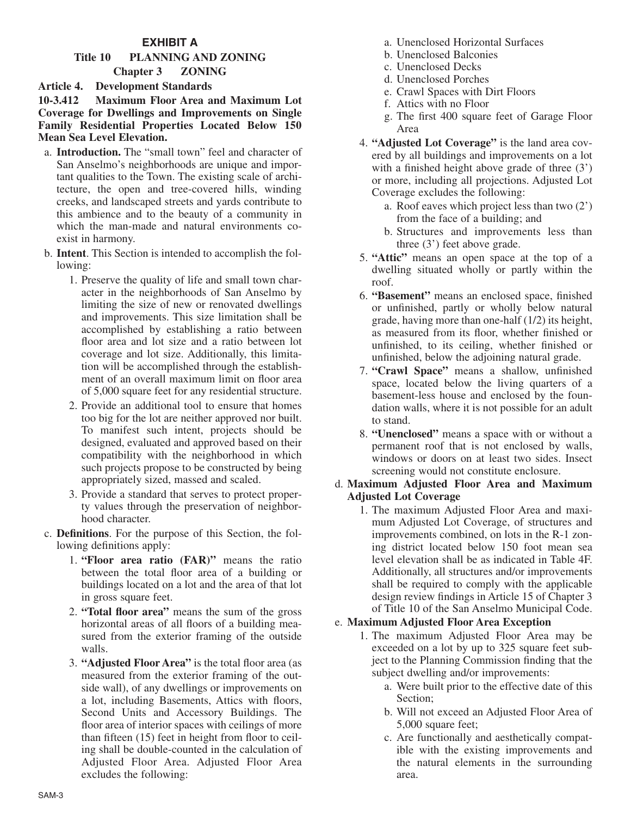# **EXHIBIT A**

# **Title 10 PLANNING AND ZONING**

## **Chapter 3 ZONING**

## **Article 4. Development Standards**

#### **10-3.412 Maximum Floor Area and Maximum Lot Coverage for Dwellings and Improvements on Single Family Residential Properties Located Below 150 Mean Sea Level Elevation.**

- a. **Introduction.** The "small town" feel and character of San Anselmo's neighborhoods are unique and important qualities to the Town. The existing scale of architecture, the open and tree-covered hills, winding creeks, and landscaped streets and yards contribute to this ambience and to the beauty of a community in which the man-made and natural environments coexist in harmony.
- b. **Intent**. This Section is intended to accomplish the following:
	- 1. Preserve the quality of life and small town character in the neighborhoods of San Anselmo by limiting the size of new or renovated dwellings and improvements. This size limitation shall be accomplished by establishing a ratio between floor area and lot size and a ratio between lot coverage and lot size. Additionally, this limitation will be accomplished through the establishment of an overall maximum limit on floor area of 5,000 square feet for any residential structure.
	- 2. Provide an additional tool to ensure that homes too big for the lot are neither approved nor built. To manifest such intent, projects should be designed, evaluated and approved based on their compatibility with the neighborhood in which such projects propose to be constructed by being appropriately sized, massed and scaled.
	- 3. Provide a standard that serves to protect property values through the preservation of neighborhood character.
- c. **Definitions**. For the purpose of this Section, the following definitions apply:
	- 1. **"Floor area ratio (FAR)"** means the ratio between the total floor area of a building or buildings located on a lot and the area of that lot in gross square feet.
	- 2. **"Total floor area"** means the sum of the gross horizontal areas of all floors of a building measured from the exterior framing of the outside walls.
	- 3. **"Adjusted Floor Area"** is the total floor area (as measured from the exterior framing of the outside wall), of any dwellings or improvements on a lot, including Basements, Attics with floors, Second Units and Accessory Buildings. The floor area of interior spaces with ceilings of more than fifteen (15) feet in height from floor to ceiling shall be double-counted in the calculation of Adjusted Floor Area. Adjusted Floor Area excludes the following:
- a. Unenclosed Horizontal Surfaces
- b. Unenclosed Balconies
- c. Unenclosed Decks
- d. Unenclosed Porches
- e. Crawl Spaces with Dirt Floors
- f. Attics with no Floor
- g. The first 400 square feet of Garage Floor Area
- 4. **"Adjusted Lot Coverage"** is the land area covered by all buildings and improvements on a lot with a finished height above grade of three  $(3')$ or more, including all projections. Adjusted Lot Coverage excludes the following:
	- a. Roof eaves which project less than two (2') from the face of a building; and
	- b. Structures and improvements less than three (3') feet above grade.
- 5. **"Attic"** means an open space at the top of a dwelling situated wholly or partly within the roof.
- 6. **"Basement"** means an enclosed space, finished or unfinished, partly or wholly below natural grade, having more than one-half (1/2) its height, as measured from its floor, whether finished or unfinished, to its ceiling, whether finished or unfinished, below the adjoining natural grade.
- 7. **"Crawl Space"** means a shallow, unfinished space, located below the living quarters of a basement-less house and enclosed by the foundation walls, where it is not possible for an adult to stand.
- 8. **"Unenclosed"** means a space with or without a permanent roof that is not enclosed by walls, windows or doors on at least two sides. Insect screening would not constitute enclosure.

## d. **Maximum Adjusted Floor Area and Maximum Adjusted Lot Coverage**

1. The maximum Adjusted Floor Area and maximum Adjusted Lot Coverage, of structures and improvements combined, on lots in the R-1 zoning district located below 150 foot mean sea level elevation shall be as indicated in Table 4F. Additionally, all structures and/or improvements shall be required to comply with the applicable design review findings in Article 15 of Chapter 3 of Title 10 of the San Anselmo Municipal Code.

## e. **Maximum Adjusted Floor Area Exception**

- 1. The maximum Adjusted Floor Area may be exceeded on a lot by up to 325 square feet subject to the Planning Commission finding that the subject dwelling and/or improvements:
	- a. Were built prior to the effective date of this Section;
	- b. Will not exceed an Adjusted Floor Area of 5,000 square feet;
	- c. Are functionally and aesthetically compatible with the existing improvements and the natural elements in the surrounding area.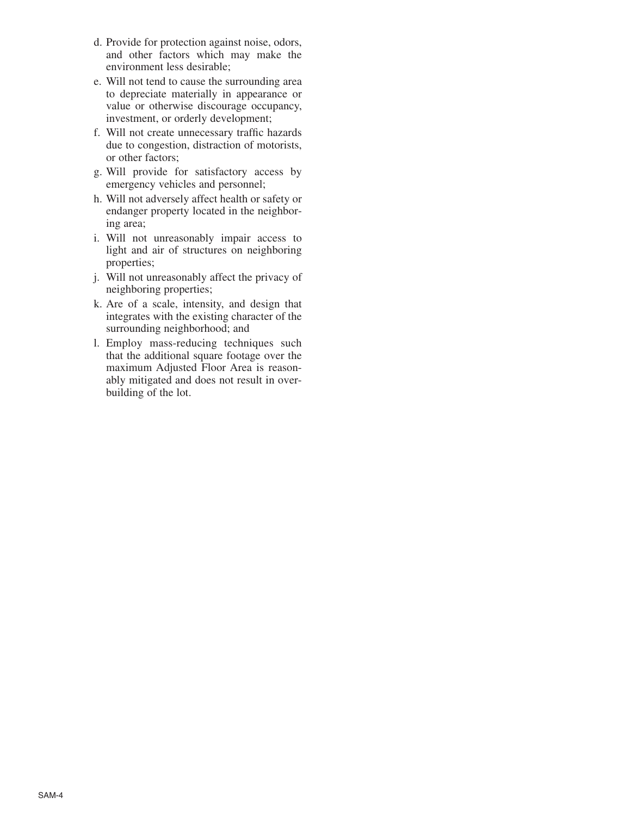- d. Provide for protection against noise, odors, and other factors which may make the environment less desirable;
- e. Will not tend to cause the surrounding area to depreciate materially in appearance or value or otherwise discourage occupancy, investment, or orderly development;
- f. Will not create unnecessary traffic hazards due to congestion, distraction of motorists, or other factors;
- g. Will provide for satisfactory access by emergency vehicles and personnel;
- h. Will not adversely affect health or safety or endanger property located in the neighboring area;
- i. Will not unreasonably impair access to light and air of structures on neighboring properties;
- j. Will not unreasonably affect the privacy of neighboring properties;
- k. Are of a scale, intensity, and design that integrates with the existing character of the surrounding neighborhood; and
- l. Employ mass-reducing techniques such that the additional square footage over the maximum Adjusted Floor Area is reasonably mitigated and does not result in overbuilding of the lot.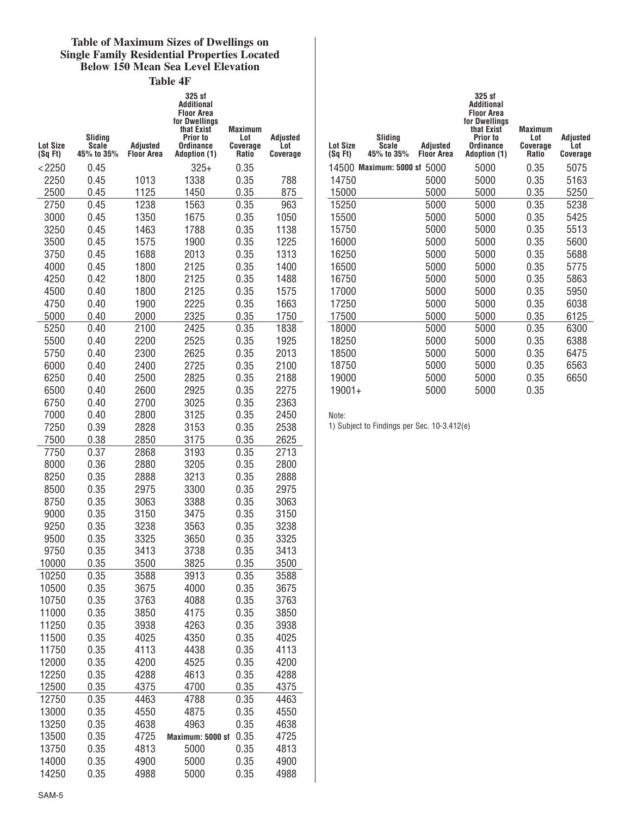#### **Table of Maximum Sizes of Dwellings on Single Family Residential Properties Located Below 150 Mean Sea Level Elevation**

**Table 4F**

|                 |                  |              | 325 sf<br>Additional<br>Floor Area<br>for Dwellings<br>that Exist | <b>Maximum</b>  |                 |
|-----------------|------------------|--------------|-------------------------------------------------------------------|-----------------|-----------------|
| <b>Lot Size</b> | Sliding<br>Scale | Adjusted     | Prior to<br><b>Ordinance</b>                                      | Lot<br>Coverage | Adjusted<br>Lot |
| (SqFt)          | 45% to 35%       | Floor Area   | <b>Adoption (1)</b>                                               | Ratio           | Coverage        |
| < 2250          | 0.45             |              | $325+$                                                            | 0.35            |                 |
| 2250            | 0.45             | 1013         | 1338                                                              | 0.35            | 788             |
| 2500            | 0.45             | 1125         | 1450                                                              | 0.35            | 875             |
| 2750            | 0.45             | 1238         | 1563                                                              | 0.35            | 963             |
| 3000            | 0.45             | 1350         | 1675                                                              | 0.35            | 1050            |
| 3250            | 0.45             | 1463         | 1788                                                              | 0.35            | 1138            |
| 3500            | 0.45             | 1575         | 1900                                                              | 0.35            | 1225            |
| 3750            | 0.45             | 1688         | 2013                                                              | 0.35            | 1313            |
| 4000            | 0.45             | 1800         | 2125                                                              | 0.35            | 1400            |
| 4250            | 0.42             | 1800         | 2125                                                              | 0.35            | 1488            |
| 4500            | 0.40             | 1800         | 2125                                                              | 0.35            | 1575            |
| 4750            | 0.40             | 1900         | 2225                                                              | 0.35            | 1663            |
| 5000<br>5250    | 0.40<br>0.40     | 2000<br>2100 | 2325<br>2425                                                      | 0.35<br>0.35    | 1750<br>1838    |
| 5500            | 0.40             | 2200         | 2525                                                              | 0.35            | 1925            |
| 5750            | 0.40             | 2300         | 2625                                                              | 0.35            | 2013            |
| 6000            | 0.40             | 2400         | 2725                                                              | 0.35            | 2100            |
| 6250            | 0.40             | 2500         | 2825                                                              | 0.35            | 2188            |
| 6500            | 0.40             | 2600         | 2925                                                              | 0.35            | 2275            |
| 6750            | 0.40             | 2700         | 3025                                                              | 0.35            | 2363            |
| 7000            | 0.40             | 2800         | 3125                                                              | 0.35            | 2450            |
| 7250            | 0.39             | 2828         | 3153                                                              | 0.35            | 2538            |
| 7500            | 0.38             | 2850         | 3175                                                              | 0.35            | 2625            |
| 7750            | 0.37             | 2868         | 3193                                                              | 0.35            | 2713            |
| 8000            | 0.36             | 2880         | 3205                                                              | 0.35            | 2800            |
| 8250            | 0.35             | 2888         | 3213                                                              | 0.35            | 2888            |
| 8500            | 0.35             | 2975         | 3300                                                              | 0.35            | 2975            |
| 8750            | 0.35             | 3063         | 3388                                                              | 0.35            | 3063            |
| 9000            | 0.35             | 3150         | 3475                                                              | 0.35            | 3150            |
| 9250            | 0.35             | 3238         | 3563                                                              | 0.35            | 3238            |
| 9500            | 0.35             | 3325         | 3650                                                              | 0.35            | 3325            |
| 9750            | 0.35             | 3413         | 3738                                                              | 0.35            | 3413            |
| 10000           | 0.35             | 3500         | 3825                                                              | 0.35            | 3500            |
| 10250           | 0.35             | 3588         | 3913                                                              | 0.35            | 3588            |
| 10500           | 0.35             | 3675         | 4000                                                              | 0.35            | 3675            |
| 10750           | 0.35             | 3763         | 4088                                                              | 0.35            | 3763            |
| 11000           | 0.35             | 3850         | 4175                                                              | 0.35            | 3850            |
| 11250           | 0.35             | 3938         | 4263                                                              | 0.35            | 3938            |
| 11500<br>11750  | 0.35<br>0.35     | 4025<br>4113 | 4350<br>4438                                                      | 0.35<br>0.35    | 4025<br>4113    |
| 12000           | 0.35             | 4200         | 4525                                                              | 0.35            | 4200            |
| 12250           | 0.35             | 4288         | 4613                                                              | 0.35            | 4288            |
| 12500           | 0.35             | 4375         | 4700                                                              | 0.35            | 4375            |
| 12750           | 0.35             | 4463         | 4788                                                              | 0.35            | 4463            |
| 13000           | 0.35             | 4550         | 4875                                                              | 0.35            | 4550            |
| 13250           | 0.35             | 4638         | 4963                                                              | 0.35            | 4638            |
| 13500           | 0.35             | 4725         | Maximum: 5000 sf                                                  | 0.35            | 4725            |
| 13750           | 0.35             | 4813         | 5000                                                              | 0.35            | 4813            |
| 14000           | 0.35             | 4900         | 5000                                                              | 0.35            | 4900            |
| 14250           | 0.35             | 4988         | 5000                                                              | 0.35            | 4988            |

| <b>Lot Size</b><br>(SqFt) | Sliding<br><b>Scale</b><br>45% to 35% | Adiusted<br><b>Floor Area</b> | 325 sf<br>Additional<br><b>Floor Area</b><br>for Dwellings<br>that Exist<br>Prior to<br>Ordinance<br><b>Adoption (1)</b> | <b>Maximum</b><br>Lot<br>Coverage<br><b>Ratio</b> | <b>Adjusted</b><br>Lot<br><b>Coverage</b> |
|---------------------------|---------------------------------------|-------------------------------|--------------------------------------------------------------------------------------------------------------------------|---------------------------------------------------|-------------------------------------------|
| 14500                     | Maximum: 5000 sf                      | 5000                          | 5000                                                                                                                     | 0.35                                              | 5075                                      |
| 14750                     |                                       | 5000                          | 5000                                                                                                                     | 0.35                                              | 5163                                      |
| 15000                     |                                       | 5000                          | 5000                                                                                                                     | 0.35                                              | 5250                                      |
| 15250                     |                                       | 5000                          | 5000                                                                                                                     | 0.35                                              | 5238                                      |
| 15500                     |                                       | 5000                          | 5000                                                                                                                     | 0.35                                              | 5425                                      |
| 15750                     |                                       | 5000                          | 5000                                                                                                                     | 0.35                                              | 5513                                      |
| 16000                     |                                       | 5000                          | 5000                                                                                                                     | 0.35                                              | 5600                                      |
| 16250                     |                                       | 5000                          | 5000                                                                                                                     | 0.35                                              | 5688                                      |
| 16500                     |                                       | 5000                          | 5000                                                                                                                     | 0.35                                              | 5775                                      |
| 16750                     |                                       | 5000                          | 5000                                                                                                                     | 0.35                                              | 5863                                      |
| 17000                     |                                       | 5000                          | 5000                                                                                                                     | 0.35                                              | 5950                                      |
| 17250                     |                                       | 5000                          | 5000                                                                                                                     | 0.35                                              | 6038                                      |
| 17500                     |                                       | 5000                          | 5000                                                                                                                     | 0.35                                              | 6125                                      |
| 18000                     |                                       | 5000                          | 5000                                                                                                                     | 0.35                                              | 6300                                      |
| 18250                     |                                       | 5000                          | 5000                                                                                                                     | 0.35                                              | 6388                                      |
| 18500                     |                                       | 5000                          | 5000                                                                                                                     | 0.35                                              | 6475                                      |
| 18750                     |                                       | 5000                          | 5000                                                                                                                     | 0.35                                              | 6563                                      |
| 19000                     |                                       | 5000                          | 5000                                                                                                                     | 0.35                                              | 6650                                      |
| $19001 +$                 |                                       | 5000                          | 5000                                                                                                                     | 0.35                                              |                                           |

Note:

1) Subject to Findings per Sec. 10-3.412(e)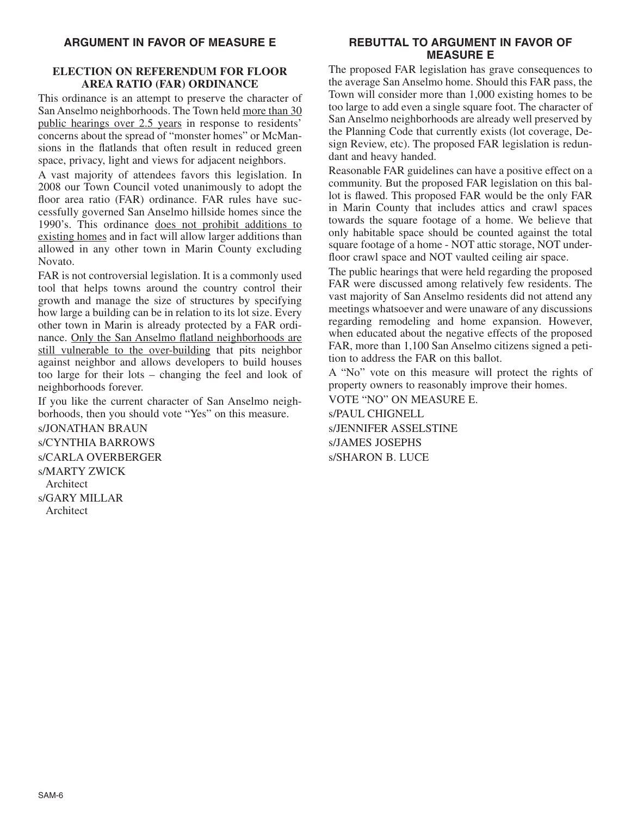#### **ELECTION ON REFERENDUM FOR FLOOR AREA RATIO (FAR) ORDINANCE**

This ordinance is an attempt to preserve the character of San Anselmo neighborhoods. The Town held more than 30 public hearings over 2.5 years in response to residents' concerns about the spread of "monster homes" or McMansions in the flatlands that often result in reduced green space, privacy, light and views for adjacent neighbors.

A vast majority of attendees favors this legislation. In 2008 our Town Council voted unanimously to adopt the floor area ratio (FAR) ordinance. FAR rules have successfully governed San Anselmo hillside homes since the 1990's. This ordinance does not prohibit additions to existing homes and in fact will allow larger additions than allowed in any other town in Marin County excluding Novato.

FAR is not controversial legislation. It is a commonly used tool that helps towns around the country control their growth and manage the size of structures by specifying how large a building can be in relation to its lot size. Every other town in Marin is already protected by a FAR ordinance. Only the San Anselmo flatland neighborhoods are still vulnerable to the over-building that pits neighbor against neighbor and allows developers to build houses too large for their lots – changing the feel and look of neighborhoods forever.

If you like the current character of San Anselmo neighborhoods, then you should vote "Yes" on this measure.

s/JONATHAN BRAUN s/CYNTHIA BARROWS s/CARLA OVERBERGER s/MARTY ZWICK **Architect** s/GARY MILLAR Architect

# **REBUTTAL TO ARGUMENT IN FAVOR OF MEASURE E**

The proposed FAR legislation has grave consequences to the average San Anselmo home. Should this FAR pass, the Town will consider more than 1,000 existing homes to be too large to add even a single square foot. The character of San Anselmo neighborhoods are already well preserved by the Planning Code that currently exists (lot coverage, Design Review, etc). The proposed FAR legislation is redundant and heavy handed.

Reasonable FAR guidelines can have a positive effect on a community. But the proposed FAR legislation on this ballot is flawed. This proposed FAR would be the only FAR in Marin County that includes attics and crawl spaces towards the square footage of a home. We believe that only habitable space should be counted against the total square footage of a home - NOT attic storage, NOT underfloor crawl space and NOT vaulted ceiling air space.

The public hearings that were held regarding the proposed FAR were discussed among relatively few residents. The vast majority of San Anselmo residents did not attend any meetings whatsoever and were unaware of any discussions regarding remodeling and home expansion. However, when educated about the negative effects of the proposed FAR, more than 1,100 San Anselmo citizens signed a petition to address the FAR on this ballot.

A "No" vote on this measure will protect the rights of property owners to reasonably improve their homes.

VOTE "NO" ON MEASURE E. s/PAUL CHIGNELL s/JENNIFER ASSELSTINE s/JAMES JOSEPHS s/SHARON B. LUCE